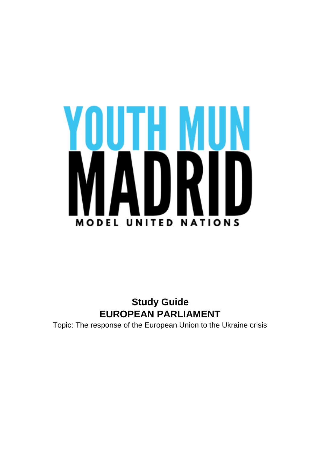

# **Study Guide EUROPEAN PARLIAMENT**

Topic: The response of the European Union to the Ukraine crisis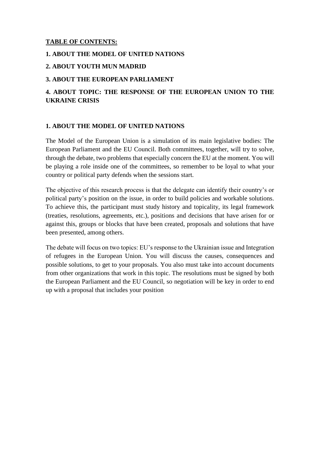# **TABLE OF CONTENTS:**

#### **1. ABOUT THE MODEL OF UNITED NATIONS**

#### **2. ABOUT YOUTH MUN MADRID**

#### **3. ABOUT THE EUROPEAN PARLIAMENT**

# **4. ABOUT TOPIC: THE RESPONSE OF THE EUROPEAN UNION TO THE UKRAINE CRISIS**

#### **1. ABOUT THE MODEL OF UNITED NATIONS**

The Model of the European Union is a simulation of its main legislative bodies: The European Parliament and the EU Council. Both committees, together, will try to solve, through the debate, two problems that especially concern the EU at the moment. You will be playing a role inside one of the committees, so remember to be loyal to what your country or political party defends when the sessions start.

The objective of this research process is that the delegate can identify their country's or political party's position on the issue, in order to build policies and workable solutions. To achieve this, the participant must study history and topicality, its legal framework (treaties, resolutions, agreements, etc.), positions and decisions that have arisen for or against this, groups or blocks that have been created, proposals and solutions that have been presented, among others.

The debate will focus on two topics: EU's response to the Ukrainian issue and Integration of refugees in the European Union. You will discuss the causes, consequences and possible solutions, to get to your proposals. You also must take into account documents from other organizations that work in this topic. The resolutions must be signed by both the European Parliament and the EU Council, so negotiation will be key in order to end up with a proposal that includes your position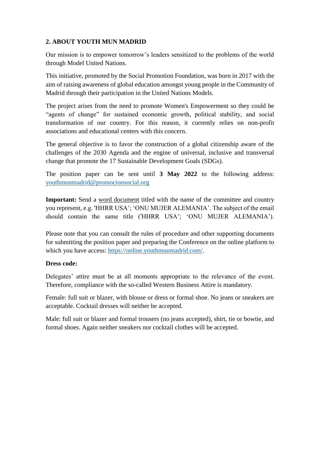# **2. ABOUT YOUTH MUN MADRID**

Our mission is to empower tomorrow's leaders sensitized to the problems of the world through Model United Nations.

This initiative, promoted by the Social Promotion Foundation, was born in 2017 with the aim of raising awareness of global education amongst young people in the Community of Madrid through their participation in the United Nations Models.

The project arises from the need to promote Women's Empowerment so they could be "agents of change" for sustained economic growth, political stability, and social transformation of our country. For this reason, it currently relies on non-profit associations and educational centers with this concern.

The general objective is to favor the construction of a global citizenship aware of the challenges of the 2030 Agenda and the engine of universal, inclusive and transversal change that promote the 17 Sustainable Development Goals (SDGs).

The position paper can be sent until **3 May 2022** to the following address: [youthmunmadrid@promocionsocial.org](mailto:youthmunmadrid@promocionsocial.org)

**Important:** Send a word document titled with the name of the committee and country you represent, e.g. 'HHRR USA'; 'ONU MUJER ALEMANIA'. The subject of the email should contain the same title ('HHRR USA'; 'ONU MUJER ALEMANIA').

Please note that you can consult the rules of procedure and other supporting documents for submitting the position paper and preparing the Conference on the online platform to which you have access: [https://online.youthmunmadrid.com/.](https://online.youthmunmadrid.com/)

#### **Dress code:**

Delegates' attire must be at all moments appropriate to the relevance of the event. Therefore, compliance with the so-called Western Business Attire is mandatory.

Female: full suit or blazer, with blouse or dress or formal shoe. No jeans or sneakers are acceptable. Cocktail dresses will neither be accepted.

Male: full suit or blazer and formal trousers (no jeans accepted), shirt, tie or bowtie, and formal shoes. Again neither sneakers nor cocktail clothes will be accepted.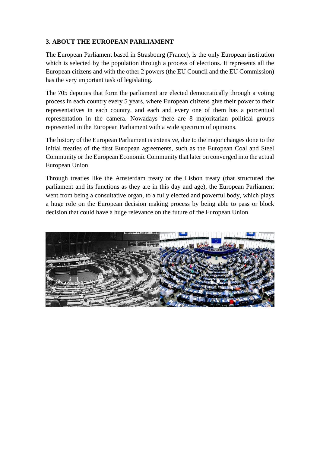# **3. ABOUT THE EUROPEAN PARLIAMENT**

The European Parliament based in Strasbourg (France), is the only European institution which is selected by the population through a process of elections. It represents all the European citizens and with the other 2 powers (the EU Council and the EU Commission) has the very important task of legislating.

The 705 deputies that form the parliament are elected democratically through a voting process in each country every 5 years, where European citizens give their power to their representatives in each country, and each and every one of them has a porcentual representation in the camera. Nowadays there are 8 majoritarian political groups represented in the European Parliament with a wide spectrum of opinions.

The history of the European Parliament is extensive, due to the major changes done to the initial treaties of the first European agreements, such as the European Coal and Steel Community or the European Economic Community that later on converged into the actual European Union.

Through treaties like the Amsterdam treaty or the Lisbon treaty (that structured the parliament and its functions as they are in this day and age), the European Parliament went from being a consultative organ, to a fully elected and powerful body, which plays a huge role on the European decision making process by being able to pass or block decision that could have a huge relevance on the future of the European Union

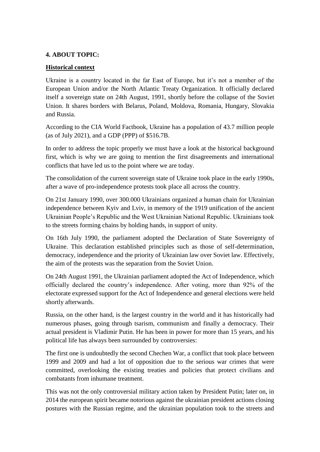#### **4. ABOUT TOPIC:**

#### **Historical context**

Ukraine is a country located in the far East of Europe, but it's not a member of the European Union and/or the North Atlantic Treaty Organization. It officially declared itself a sovereign state on 24th August, 1991, shortly before the collapse of the Soviet Union. It shares borders with Belarus, Poland, Moldova, Romania, Hungary, Slovakia and Russia.

According to the CIA World Factbook, Ukraine has a population of 43.7 million people (as of July 2021), and a GDP (PPP) of \$516.7B.

In order to address the topic properly we must have a look at the historical background first, which is why we are going to mention the first disagreements and international conflicts that have led us to the point where we are today.

The consolidation of the current sovereign state of Ukraine took place in the early 1990s, after a wave of pro-independence protests took place all across the country.

On 21st January 1990, over 300.000 Ukrainians organized a human chain for Ukrainian independence between Kyiv and Lviv, in memory of the 1919 unification of the ancient Ukrainian People's Republic and the West Ukrainian National Republic. Ukrainians took to the streets forming chains by holding hands, in support of unity.

On 16th July 1990, the parliament adopted the Declaration of State Sovereignty of Ukraine. This declaration established principles such as those of self-determination, democracy, independence and the priority of Ukrainian law over Soviet law. Effectively, the aim of the protests was the separation from the Soviet Union.

On 24th August 1991, the Ukrainian parliament adopted the Act of Independence, which officially declared the country's independence. After voting, more than 92% of the electorate expressed support for the Act of Independence and general elections were held shortly afterwards.

Russia, on the other hand, is the largest country in the world and it has historically had numerous phases, going through tsarism, communism and finally a democracy. Their actual president is Vladimir Putin. He has been in power for more than 15 years, and his political life has always been surrounded by controversies:

The first one is undoubtedly the second Chechen War, a conflict that took place between 1999 and 2009 and had a lot of opposition due to the serious war crimes that were committed, overlooking the existing treaties and policies that protect civilians and combatants from inhumane treatment.

This was not the only controversial military action taken by President Putin; later on, in 2014 the european spirit became notorious against the ukrainian president actions closing postures with the Russian regime, and the ukrainian population took to the streets and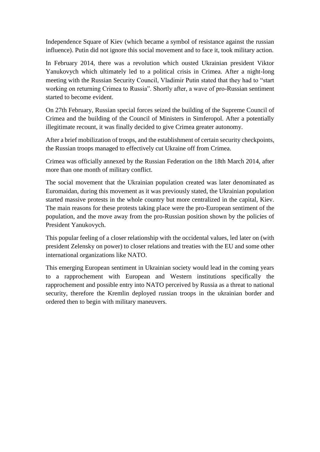Independence Square of Kiev (which became a symbol of resistance against the russian influence). Putin did not ignore this social movement and to face it, took military action.

In February 2014, there was a revolution which ousted Ukrainian president Viktor Yanukovych which ultimately led to a political crisis in Crimea. After a night-long meeting with the Russian Security Council, Vladimir Putin stated that they had to "start working on returning Crimea to Russia". Shortly after, a wave of pro-Russian sentiment started to become evident.

On 27th February, Russian special forces seized the building of the Supreme Council of Crimea and the building of the Council of Ministers in Simferopol. After a potentially illegitimate recount, it was finally decided to give Crimea greater autonomy.

After a brief mobilization of troops, and the establishment of certain security checkpoints, the Russian troops managed to effectively cut Ukraine off from Crimea.

Crimea was officially annexed by the Russian Federation on the 18th March 2014, after more than one month of military conflict.

The social movement that the Ukrainian population created was later denominated as Euromaidan, during this movement as it was previously stated, the Ukrainian population started massive protests in the whole country but more centralized in the capital, Kiev. The main reasons for these protests taking place were the pro-European sentiment of the population, and the move away from the pro-Russian position shown by the policies of President Yanukovych.

This popular feeling of a closer relationship with the occidental values, led later on (with president Zelensky on power) to closer relations and treaties with the EU and some other international organizations like NATO.

This emerging European sentiment in Ukrainian society would lead in the coming years to a rapprochement with European and Western institutions specifically the rapprochement and possible entry into NATO perceived by Russia as a threat to national security, therefore the Kremlin deployed russian troops in the ukrainian border and ordered then to begin with military maneuvers.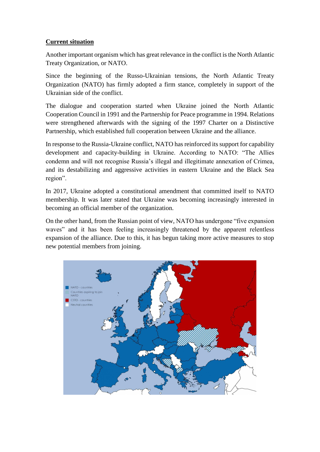# **Current situation**

Another important organism which has great relevance in the conflict is the North Atlantic Treaty Organization, or NATO.

Since the beginning of the Russo-Ukrainian tensions, the North Atlantic Treaty Organization (NATO) has firmly adopted a firm stance, completely in support of the Ukrainian side of the conflict.

The dialogue and cooperation started when Ukraine joined the North Atlantic Cooperation Council in 1991 and the Partnership for Peace programme in 1994. Relations were strengthened afterwards with the signing of the 1997 Charter on a Distinctive Partnership, which established full cooperation between Ukraine and the alliance.

In response to the Russia-Ukraine conflict, NATO has reinforced its support for capability development and capacity-building in Ukraine. According to NATO: "The Allies condemn and will not recognise Russia's illegal and illegitimate annexation of Crimea, and its destabilizing and aggressive activities in eastern Ukraine and the Black Sea region".

In 2017, Ukraine adopted a constitutional amendment that committed itself to NATO membership. It was later stated that Ukraine was becoming increasingly interested in becoming an official member of the organization.

On the other hand, from the Russian point of view, NATO has undergone "five expansion waves" and it has been feeling increasingly threatened by the apparent relentless expansion of the alliance. Due to this, it has begun taking more active measures to stop new potential members from joining.

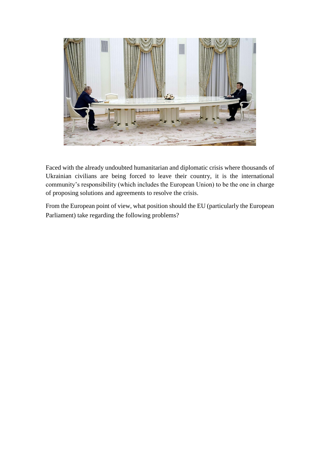

Faced with the already undoubted humanitarian and diplomatic crisis where thousands of Ukrainian civilians are being forced to leave their country, it is the international community's responsibility (which includes the European Union) to be the one in charge of proposing solutions and agreements to resolve the crisis.

From the European point of view, what position should the EU (particularly the European Parliament) take regarding the following problems?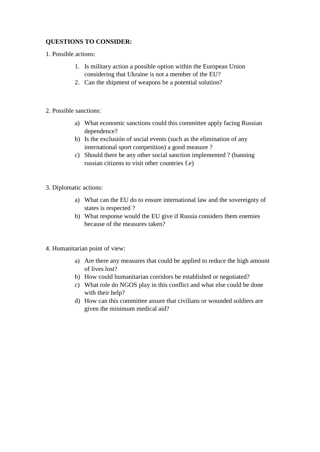# **QUESTIONS TO CONSIDER:**

1. Possible actions:

- 1. Is military action a possible option within the European Union considering that Ukraine is not a member of the EU?
- 2. Can the shipment of weapons be a potential solution?
- 2. Possible sanctions:
	- a) What economic sanctions could this committee apply facing Russian dependence?
	- b) Is the exclusión of social events (such as the elimination of any international sport competition) a good measure ?
	- c) Should there be any other social sanction implemented ? (banning russian citizens to visit other countries f.e)
- 3. Diplomatic actions:
	- a) What can the EU do to ensure international law and the sovereignty of states is respected ?
	- b) What response would the EU give if Russia considers them enemies because of the measures taken?
- 4. Humanitarian point of view:
	- a) Are there any measures that could be applied to reduce the high amount of lives lost?
	- b) How could humanitarian corridors be established or negotiated?
	- c) What role do NGOS play in this conflict and what else could be done with their help?
	- d) How can this committee assure that civilians or wounded soldiers are given the minimum medical aid?